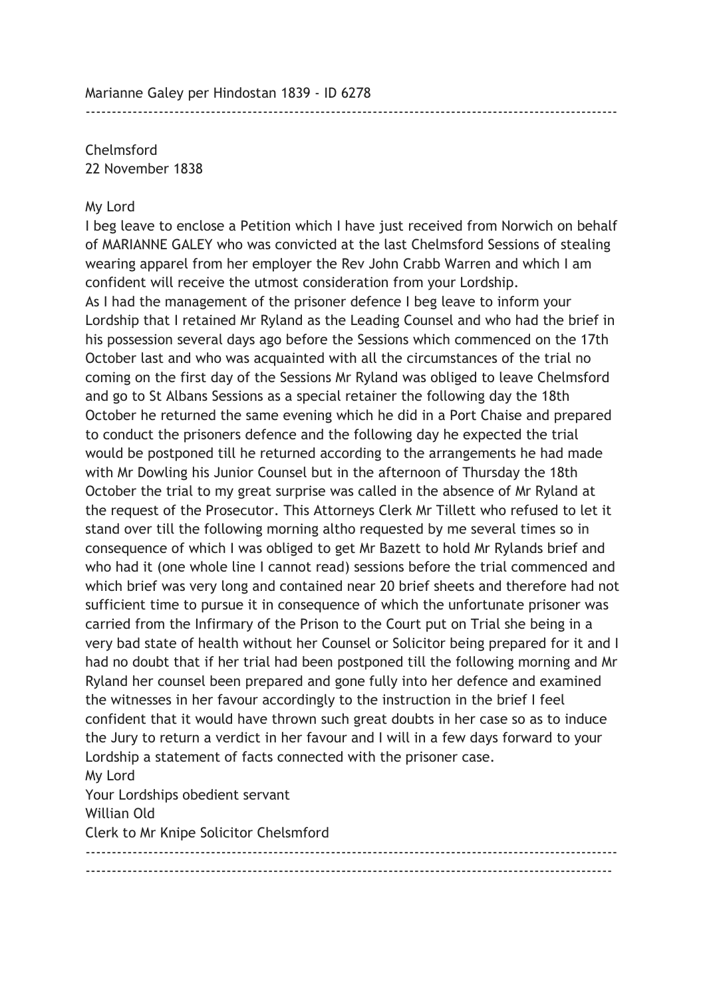Chelmsford 22 November 1838

## My Lord

I beg leave to enclose a Petition which I have just received from Norwich on behalf of MARIANNE GALEY who was convicted at the last Chelmsford Sessions of stealing wearing apparel from her employer the Rev John Crabb Warren and which I am confident will receive the utmost consideration from your Lordship. As I had the management of the prisoner defence I beg leave to inform your Lordship that I retained Mr Ryland as the Leading Counsel and who had the brief in his possession several days ago before the Sessions which commenced on the 17th October last and who was acquainted with all the circumstances of the trial no coming on the first day of the Sessions Mr Ryland was obliged to leave Chelmsford and go to St Albans Sessions as a special retainer the following day the 18th October he returned the same evening which he did in a Port Chaise and prepared to conduct the prisoners defence and the following day he expected the trial would be postponed till he returned according to the arrangements he had made with Mr Dowling his Junior Counsel but in the afternoon of Thursday the 18th October the trial to my great surprise was called in the absence of Mr Ryland at the request of the Prosecutor. This Attorneys Clerk Mr Tillett who refused to let it stand over till the following morning altho requested by me several times so in consequence of which I was obliged to get Mr Bazett to hold Mr Rylands brief and who had it (one whole line I cannot read) sessions before the trial commenced and which brief was very long and contained near 20 brief sheets and therefore had not sufficient time to pursue it in consequence of which the unfortunate prisoner was carried from the Infirmary of the Prison to the Court put on Trial she being in a very bad state of health without her Counsel or Solicitor being prepared for it and I had no doubt that if her trial had been postponed till the following morning and Mr Ryland her counsel been prepared and gone fully into her defence and examined the witnesses in her favour accordingly to the instruction in the brief I feel confident that it would have thrown such great doubts in her case so as to induce the Jury to return a verdict in her favour and I will in a few days forward to your Lordship a statement of facts connected with the prisoner case. My Lord Your Lordships obedient servant Willian Old Clerk to Mr Knipe Solicitor Chelsmford ------------------------------------------------------------------------------------------------------

-----------------------------------------------------------------------------------------------------

------------------------------------------------------------------------------------------------------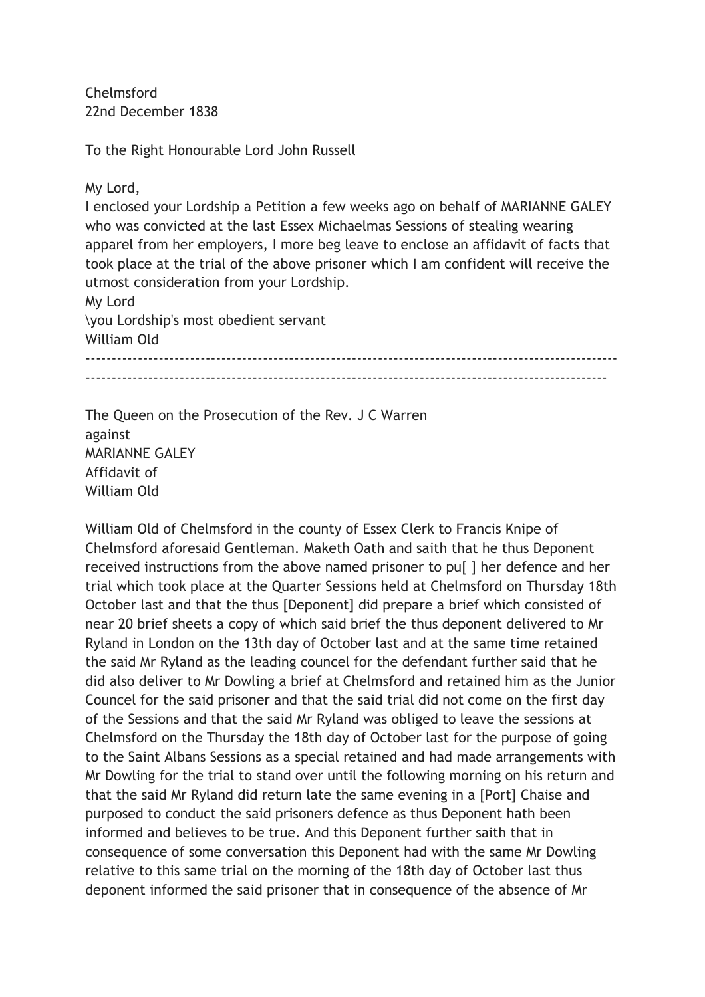Chelmsford 22nd December 1838

To the Right Honourable Lord John Russell

My Lord,

I enclosed your Lordship a Petition a few weeks ago on behalf of MARIANNE GALEY who was convicted at the last Essex Michaelmas Sessions of stealing wearing apparel from her employers, I more beg leave to enclose an affidavit of facts that took place at the trial of the above prisoner which I am confident will receive the utmost consideration from your Lordship. My Lord

\you Lordship's most obedient servant

William Old

------------------------------------------------------------------------------------------------------ ----------------------------------------------------------------------------------------------------

The Queen on the Prosecution of the Rev. J C Warren against **MARIANNE GAI FY** Affidavit of William Old

William Old of Chelmsford in the county of Essex Clerk to Francis Knipe of Chelmsford aforesaid Gentleman. Maketh Oath and saith that he thus Deponent received instructions from the above named prisoner to pu[ ] her defence and her trial which took place at the Quarter Sessions held at Chelmsford on Thursday 18th October last and that the thus [Deponent] did prepare a brief which consisted of near 20 brief sheets a copy of which said brief the thus deponent delivered to Mr Ryland in London on the 13th day of October last and at the same time retained the said Mr Ryland as the leading councel for the defendant further said that he did also deliver to Mr Dowling a brief at Chelmsford and retained him as the Junior Councel for the said prisoner and that the said trial did not come on the first day of the Sessions and that the said Mr Ryland was obliged to leave the sessions at Chelmsford on the Thursday the 18th day of October last for the purpose of going to the Saint Albans Sessions as a special retained and had made arrangements with Mr Dowling for the trial to stand over until the following morning on his return and that the said Mr Ryland did return late the same evening in a [Port] Chaise and purposed to conduct the said prisoners defence as thus Deponent hath been informed and believes to be true. And this Deponent further saith that in consequence of some conversation this Deponent had with the same Mr Dowling relative to this same trial on the morning of the 18th day of October last thus deponent informed the said prisoner that in consequence of the absence of Mr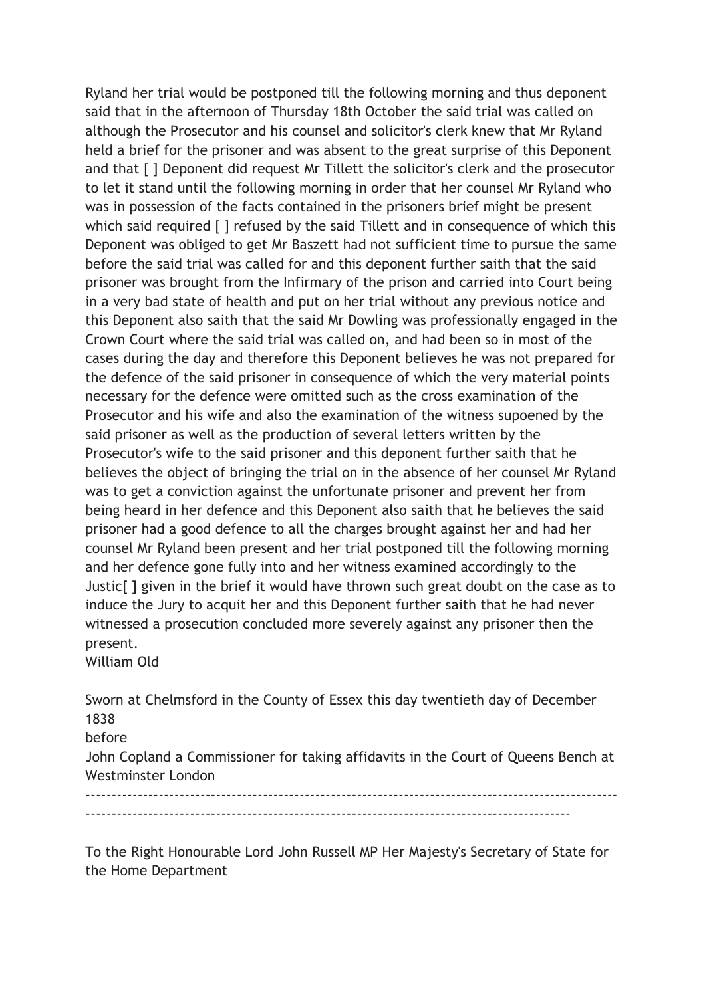Ryland her trial would be postponed till the following morning and thus deponent said that in the afternoon of Thursday 18th October the said trial was called on although the Prosecutor and his counsel and solicitor's clerk knew that Mr Ryland held a brief for the prisoner and was absent to the great surprise of this Deponent and that [ ] Deponent did request Mr Tillett the solicitor's clerk and the prosecutor to let it stand until the following morning in order that her counsel Mr Ryland who was in possession of the facts contained in the prisoners brief might be present which said required [ ] refused by the said Tillett and in consequence of which this Deponent was obliged to get Mr Baszett had not sufficient time to pursue the same before the said trial was called for and this deponent further saith that the said prisoner was brought from the Infirmary of the prison and carried into Court being in a very bad state of health and put on her trial without any previous notice and this Deponent also saith that the said Mr Dowling was professionally engaged in the Crown Court where the said trial was called on, and had been so in most of the cases during the day and therefore this Deponent believes he was not prepared for the defence of the said prisoner in consequence of which the very material points necessary for the defence were omitted such as the cross examination of the Prosecutor and his wife and also the examination of the witness supoened by the said prisoner as well as the production of several letters written by the Prosecutor's wife to the said prisoner and this deponent further saith that he believes the object of bringing the trial on in the absence of her counsel Mr Ryland was to get a conviction against the unfortunate prisoner and prevent her from being heard in her defence and this Deponent also saith that he believes the said prisoner had a good defence to all the charges brought against her and had her counsel Mr Ryland been present and her trial postponed till the following morning and her defence gone fully into and her witness examined accordingly to the Justic[ ] given in the brief it would have thrown such great doubt on the case as to induce the Jury to acquit her and this Deponent further saith that he had never witnessed a prosecution concluded more severely against any prisoner then the present.

William Old

Sworn at Chelmsford in the County of Essex this day twentieth day of December 1838

before

John Copland a Commissioner for taking affidavits in the Court of Queens Bench at Westminster London

------------------------------------------------------------------------------------------------------ ---------------------------------------------------------------------------------------------

To the Right Honourable Lord John Russell MP Her Majesty's Secretary of State for the Home Department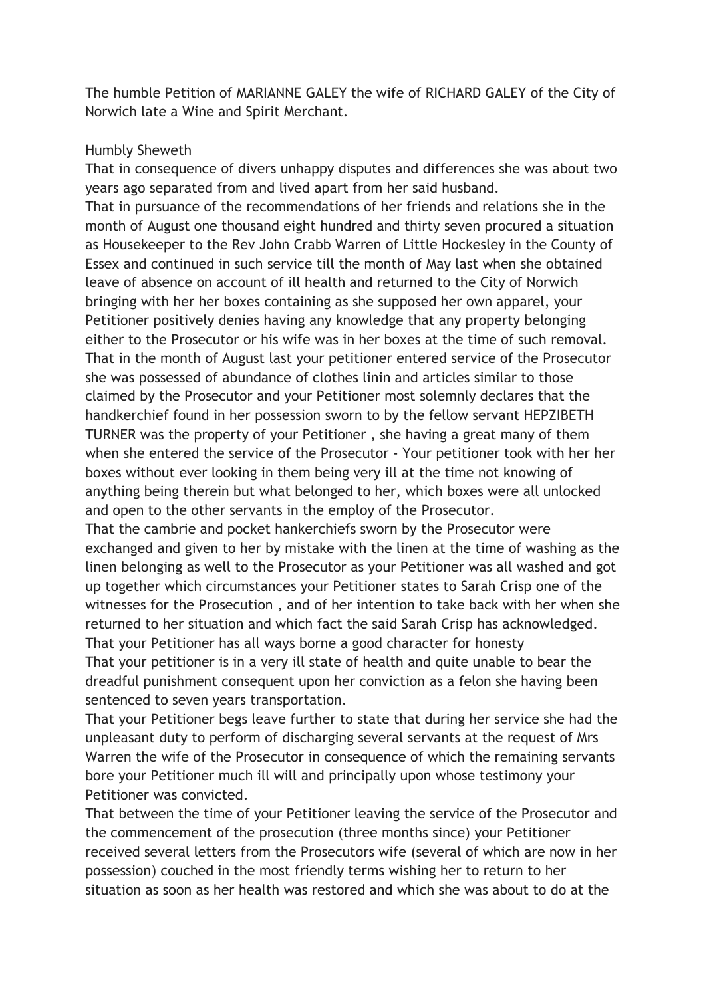The humble Petition of MARIANNE GALEY the wife of RICHARD GALEY of the City of Norwich late a Wine and Spirit Merchant.

## Humbly Sheweth

That in consequence of divers unhappy disputes and differences she was about two years ago separated from and lived apart from her said husband.

That in pursuance of the recommendations of her friends and relations she in the month of August one thousand eight hundred and thirty seven procured a situation as Housekeeper to the Rev John Crabb Warren of Little Hockesley in the County of Essex and continued in such service till the month of May last when she obtained leave of absence on account of ill health and returned to the City of Norwich bringing with her her boxes containing as she supposed her own apparel, your Petitioner positively denies having any knowledge that any property belonging either to the Prosecutor or his wife was in her boxes at the time of such removal. That in the month of August last your petitioner entered service of the Prosecutor she was possessed of abundance of clothes linin and articles similar to those claimed by the Prosecutor and your Petitioner most solemnly declares that the handkerchief found in her possession sworn to by the fellow servant HEPZIBETH TURNER was the property of your Petitioner , she having a great many of them when she entered the service of the Prosecutor - Your petitioner took with her her boxes without ever looking in them being very ill at the time not knowing of anything being therein but what belonged to her, which boxes were all unlocked and open to the other servants in the employ of the Prosecutor.

That the cambrie and pocket hankerchiefs sworn by the Prosecutor were exchanged and given to her by mistake with the linen at the time of washing as the linen belonging as well to the Prosecutor as your Petitioner was all washed and got up together which circumstances your Petitioner states to Sarah Crisp one of the witnesses for the Prosecution , and of her intention to take back with her when she returned to her situation and which fact the said Sarah Crisp has acknowledged. That your Petitioner has all ways borne a good character for honesty That your petitioner is in a very ill state of health and quite unable to bear the dreadful punishment consequent upon her conviction as a felon she having been sentenced to seven years transportation.

That your Petitioner begs leave further to state that during her service she had the unpleasant duty to perform of discharging several servants at the request of Mrs Warren the wife of the Prosecutor in consequence of which the remaining servants bore your Petitioner much ill will and principally upon whose testimony your Petitioner was convicted.

That between the time of your Petitioner leaving the service of the Prosecutor and the commencement of the prosecution (three months since) your Petitioner received several letters from the Prosecutors wife (several of which are now in her possession) couched in the most friendly terms wishing her to return to her situation as soon as her health was restored and which she was about to do at the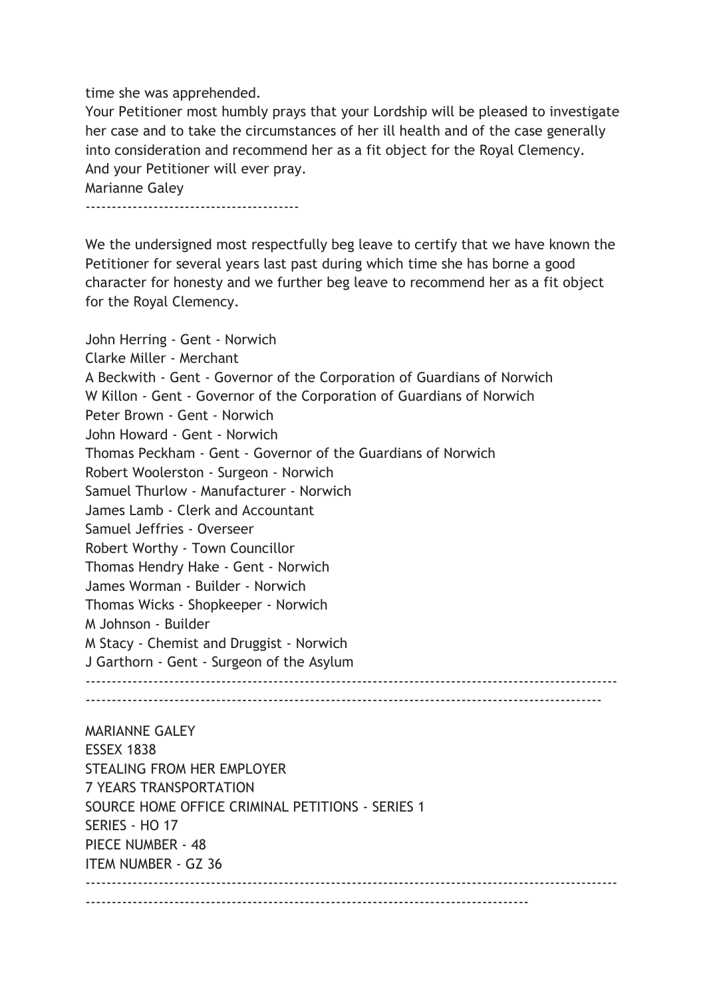time she was apprehended.

Your Petitioner most humbly prays that your Lordship will be pleased to investigate her case and to take the circumstances of her ill health and of the case generally into consideration and recommend her as a fit object for the Royal Clemency. And your Petitioner will ever pray. Marianne Galey -----------------------------------------

We the undersigned most respectfully beg leave to certify that we have known the Petitioner for several years last past during which time she has borne a good character for honesty and we further beg leave to recommend her as a fit object for the Royal Clemency.

John Herring - Gent - Norwich Clarke Miller - Merchant A Beckwith - Gent - Governor of the Corporation of Guardians of Norwich W Killon - Gent - Governor of the Corporation of Guardians of Norwich Peter Brown - Gent - Norwich John Howard - Gent - Norwich Thomas Peckham - Gent - Governor of the Guardians of Norwich Robert Woolerston - Surgeon - Norwich Samuel Thurlow - Manufacturer - Norwich James Lamb - Clerk and Accountant Samuel Jeffries - Overseer Robert Worthy - Town Councillor Thomas Hendry Hake - Gent - Norwich James Worman - Builder - Norwich Thomas Wicks - Shopkeeper - Norwich M Johnson - Builder M Stacy - Chemist and Druggist - Norwich J Garthorn - Gent - Surgeon of the Asylum ------------------------------------------------------------------------------------------------------  $-$ 

MARIANNE GALEY ESSEX 1838 STEALING FROM HER EMPLOYER 7 YEARS TRANSPORTATION SOURCE HOME OFFICE CRIMINAL PETITIONS - SERIES 1 SERIES - HO 17 PIECE NUMBER - 48 ITEM NUMBER - GZ 36  $-$ -------------------------------------------------------------------------------------